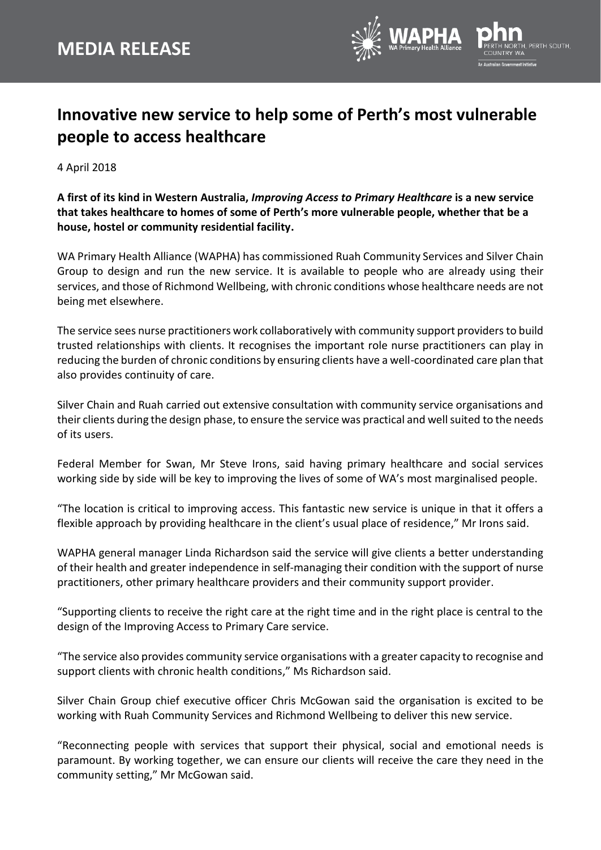

## **Innovative new service to help some of Perth's most vulnerable people to access healthcare**

4 April 2018

**A first of its kind in Western Australia,** *Improving Access to Primary Healthcare* **is a new service that takes healthcare to homes of some of Perth's more vulnerable people, whether that be a house, hostel or community residential facility.**

WA Primary Health Alliance (WAPHA) has commissioned Ruah Community Services and Silver Chain Group to design and run the new service. It is available to people who are already using their services, and those of Richmond Wellbeing, with chronic conditions whose healthcare needs are not being met elsewhere.

The service sees nurse practitioners work collaboratively with community support providers to build trusted relationships with clients. It recognises the important role nurse practitioners can play in reducing the burden of chronic conditions by ensuring clients have a well-coordinated care plan that also provides continuity of care.

Silver Chain and Ruah carried out extensive consultation with community service organisations and their clients during the design phase, to ensure the service was practical and well suited to the needs of its users.

Federal Member for Swan, Mr Steve Irons, said having primary healthcare and social services working side by side will be key to improving the lives of some of WA's most marginalised people.

"The location is critical to improving access. This fantastic new service is unique in that it offers a flexible approach by providing healthcare in the client's usual place of residence," Mr Irons said.

WAPHA general manager Linda Richardson said the service will give clients a better understanding of their health and greater independence in self-managing their condition with the support of nurse practitioners, other primary healthcare providers and their community support provider.

"Supporting clients to receive the right care at the right time and in the right place is central to the design of the Improving Access to Primary Care service.

"The service also provides community service organisations with a greater capacity to recognise and support clients with chronic health conditions," Ms Richardson said.

Silver Chain Group chief executive officer Chris McGowan said the organisation is excited to be working with Ruah Community Services and Richmond Wellbeing to deliver this new service.

"Reconnecting people with services that support their physical, social and emotional needs is paramount. By working together, we can ensure our clients will receive the care they need in the community setting," Mr McGowan said.